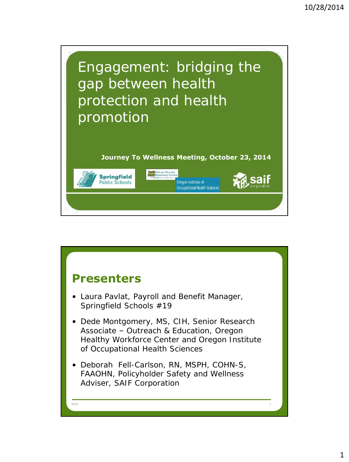

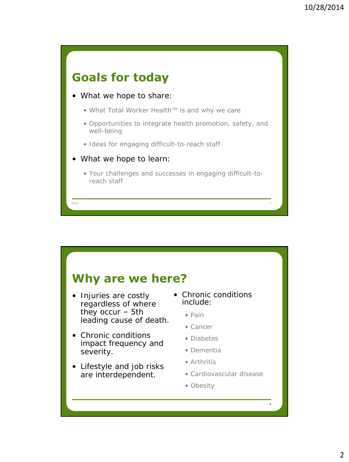

#### **Why are we here?**

- Injuries are costly regardless of where they occur – 5th leading cause of death.
- Chronic conditions impact frequency and severity.
- Lifestyle and job risks are interdependent.
- Chronic conditions include:
	- Pain
	- Cancer
	- Diabetes
	- Dementia
	- Arthritis
	- Cardiovascular disease

4

• Obesity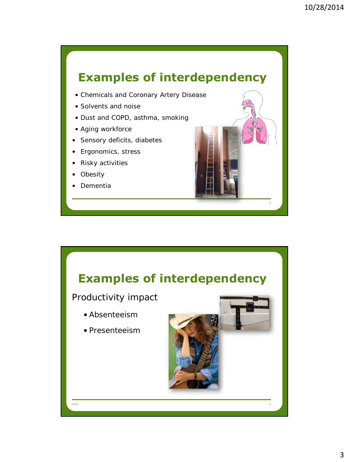# **Examples of interdependency**

- Chemicals and Coronary Artery Disease
- Solvents and noise
- Dust and COPD, asthma, smoking
- Aging workforce
- Sensory deficits, diabetes
- Ergonomics, stress
- Risky activities
- **Obesity**
- Dementia

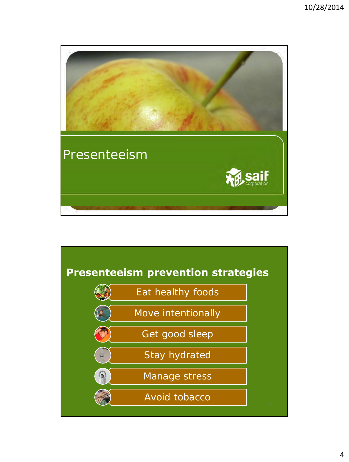

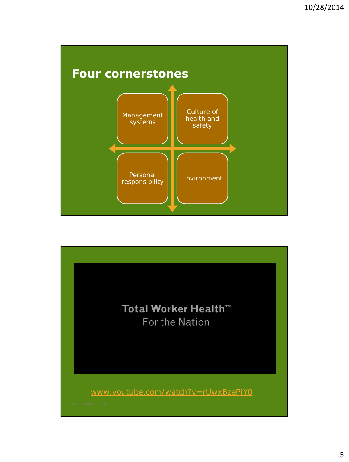

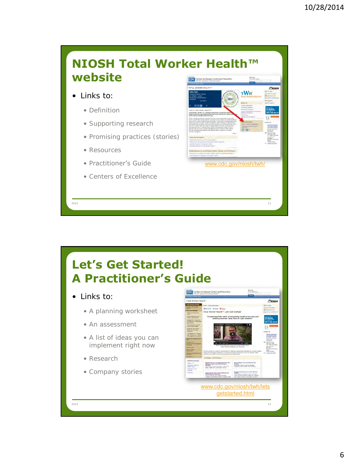



- Research
- Company stories

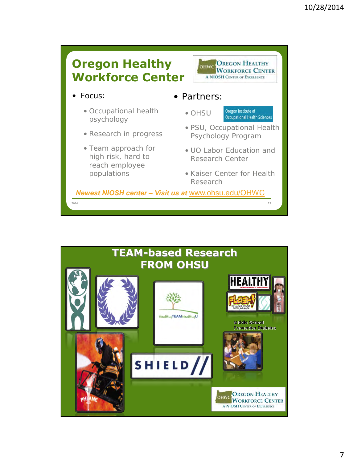

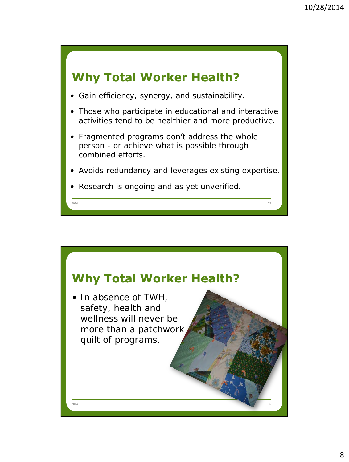

- Gain efficiency, synergy, and sustainability.
- Those who participate in educational and interactive activities tend to be healthier and more productive.
- Fragmented programs **don't** address the whole person - or achieve what is possible through combined efforts.
- Avoids redundancy and leverages existing expertise.

2014 **15 октября 15 октября 15 октября 15 октября 15 октября 15 октября 15 октября 15 октября 15 октября 15 ок** 

• Research is ongoing and as yet unverified.

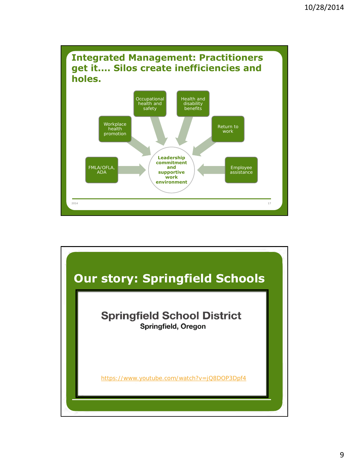

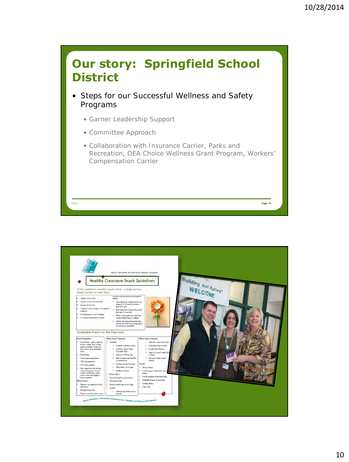

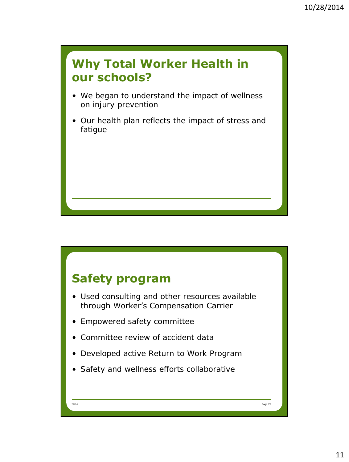#### **Why Total Worker Health in our schools?**

- We began to understand the impact of wellness on injury prevention
- Our health plan reflects the impact of stress and fatigue

## **Safety program**

- Used consulting and other resources available through Worker's Compensation Carrier
- Empowered safety committee
- Committee review of accident data
- Developed active Return to Work Program

2014 **Page 22** Page 22 **Page 22 Page 22 Page 22 Page 22 Page 22 Page 22 Page 22 Page 22 Page 22 Page 22 Page 22** 

• Safety and wellness efforts collaborative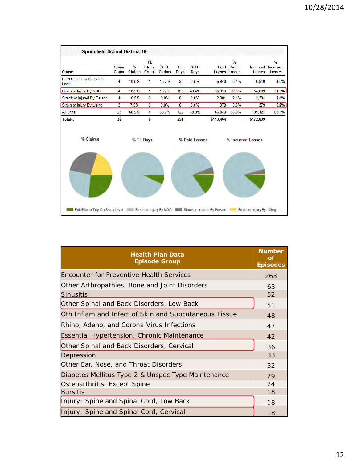

| <b>Health Plan Data</b><br><b>Episode Group</b>       | <b>Number</b><br>οf<br><b>Episodes</b> |
|-------------------------------------------------------|----------------------------------------|
| Encounter for Preventive Health Services              | 263                                    |
| Other Arthropathies, Bone and Joint Disorders         | 63                                     |
| <u>Sinusitis</u>                                      | 52                                     |
| Other Spinal and Back Disorders, Low Back             | 51                                     |
| Oth Inflam and Infect of Skin and Subcutaneous Tissue | 48                                     |
| Rhino, Adeno, and Corona Virus Infections             | 47                                     |
| <b>Essential Hypertension, Chronic Maintenance</b>    | 42                                     |
| Other Spinal and Back Disorders, Cervical             | 36                                     |
| Depression                                            | 33                                     |
| Other Ear, Nose, and Throat Disorders                 | 32                                     |
| Diabetes Mellitus Type 2 & Unspec Type Maintenance    | 29                                     |
| Osteoarthritis, Except Spine                          | 24                                     |
| Bursitis                                              | 18                                     |
| Injury: Spine and Spinal Cord, Low Back               | 18                                     |
| Injury: Spine and Spinal Cord, Cervical               | 18                                     |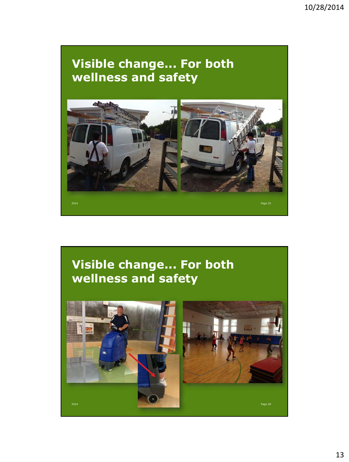## **Visible change... For both wellness and safety**



# **Visible change... For both wellness and safety**

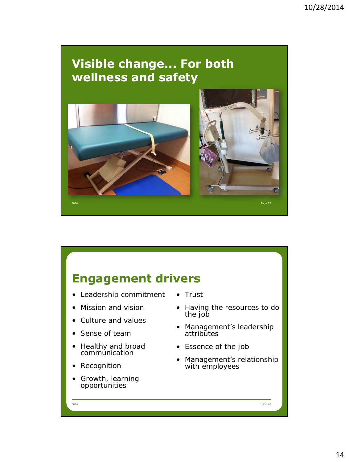#### **Visible change... For both wellness and safety**



## **Engagement drivers**

- Leadership commitment
- Mission and vision
- Culture and values
- Sense of team
- Healthy and broad commúnication
- Recognition
- Growth, learning opportunities

• Trust

2014 Slide 28

- Having the resources to do the job
- Management's leadership attributes
- Essence of the job
- Management's relationship with employees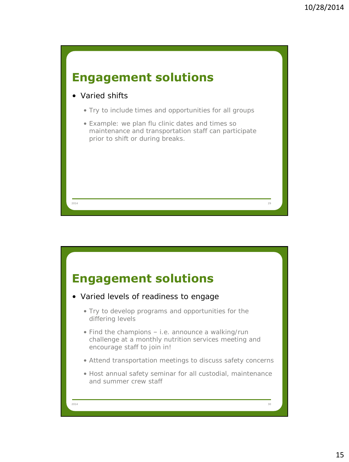

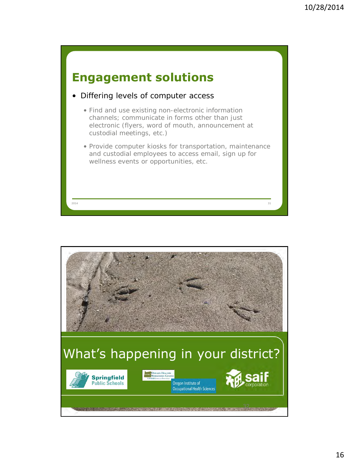

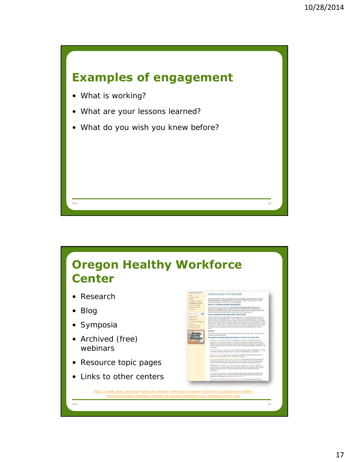



- Research
- Blog
- Symposia
- Archived (free) webinars
- Resource topic pages
- Links to other centers

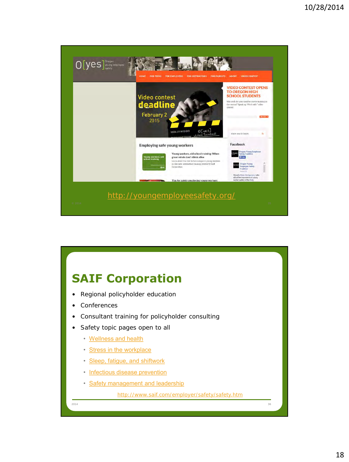